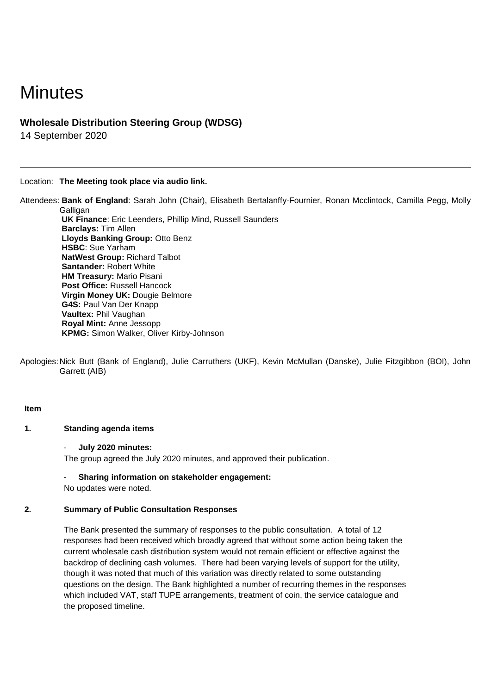# **Minutes**

## **Wholesale Distribution Steering Group (WDSG)**

14 September 2020

#### Location: **The Meeting took place via audio link.**

Attendees: **Bank of England**: Sarah John (Chair), Elisabeth Bertalanffy-Fournier, Ronan Mcclintock, Camilla Pegg, Molly **Galligan UK Finance**: Eric Leenders, Phillip Mind, Russell Saunders **Barclays:** Tim Allen **Lloyds Banking Group:** Otto Benz **HSBC**: Sue Yarham **NatWest Group:** Richard Talbot **Santander:** Robert White **HM Treasury:** Mario Pisani **Post Office:** Russell Hancock **Virgin Money UK:** Dougie Belmore **G4S:** Paul Van Der Knapp **VauItex:** Phil Vaughan **Royal Mint:** Anne Jessopp **KPMG:** Simon Walker, Oliver Kirby-Johnson

Apologies:Nick Butt (Bank of England), Julie Carruthers (UKF), Kevin McMullan (Danske), Julie Fitzgibbon (BOI), John Garrett (AIB)

## **Item**

## **1. Standing agenda items**

#### - **July 2020 minutes:**

The group agreed the July 2020 minutes, and approved their publication.

## - **Sharing information on stakeholder engagement:**

No updates were noted.

## **2. Summary of Public Consultation Responses**

The Bank presented the summary of responses to the public consultation. A total of 12 responses had been received which broadly agreed that without some action being taken the current wholesale cash distribution system would not remain efficient or effective against the backdrop of declining cash volumes. There had been varying levels of support for the utility, though it was noted that much of this variation was directly related to some outstanding questions on the design. The Bank highlighted a number of recurring themes in the responses which included VAT, staff TUPE arrangements, treatment of coin, the service catalogue and the proposed timeline.